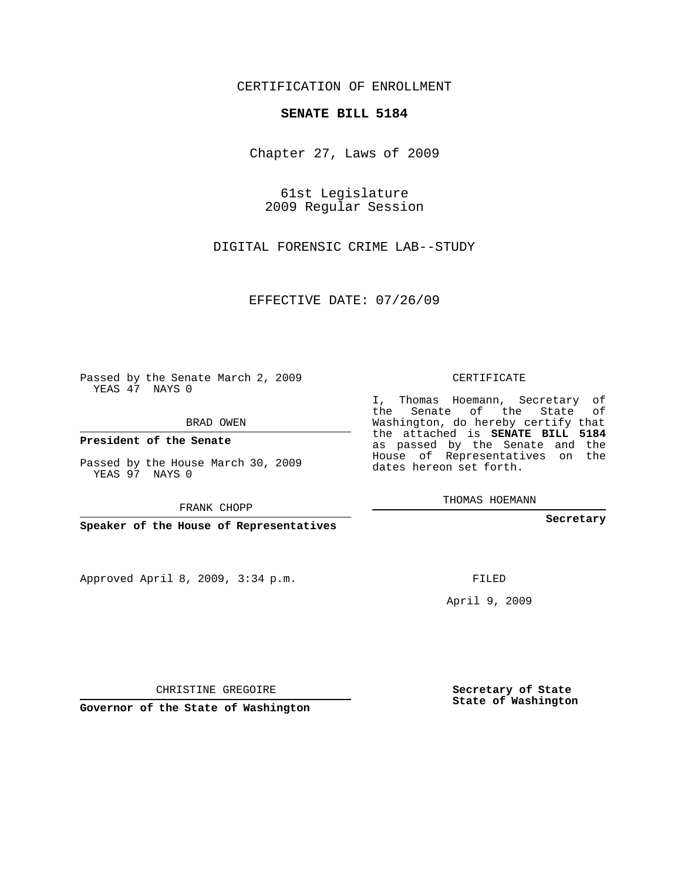## CERTIFICATION OF ENROLLMENT

## **SENATE BILL 5184**

Chapter 27, Laws of 2009

61st Legislature 2009 Regular Session

DIGITAL FORENSIC CRIME LAB--STUDY

EFFECTIVE DATE: 07/26/09

Passed by the Senate March 2, 2009 YEAS 47 NAYS 0

BRAD OWEN

**President of the Senate**

Passed by the House March 30, 2009 YEAS 97 NAYS 0

FRANK CHOPP

**Speaker of the House of Representatives**

Approved April 8, 2009, 3:34 p.m.

CERTIFICATE

I, Thomas Hoemann, Secretary of the Senate of the State of Washington, do hereby certify that the attached is **SENATE BILL 5184** as passed by the Senate and the House of Representatives on the dates hereon set forth.

THOMAS HOEMANN

**Secretary**

FILED

April 9, 2009

**Secretary of State State of Washington**

CHRISTINE GREGOIRE

**Governor of the State of Washington**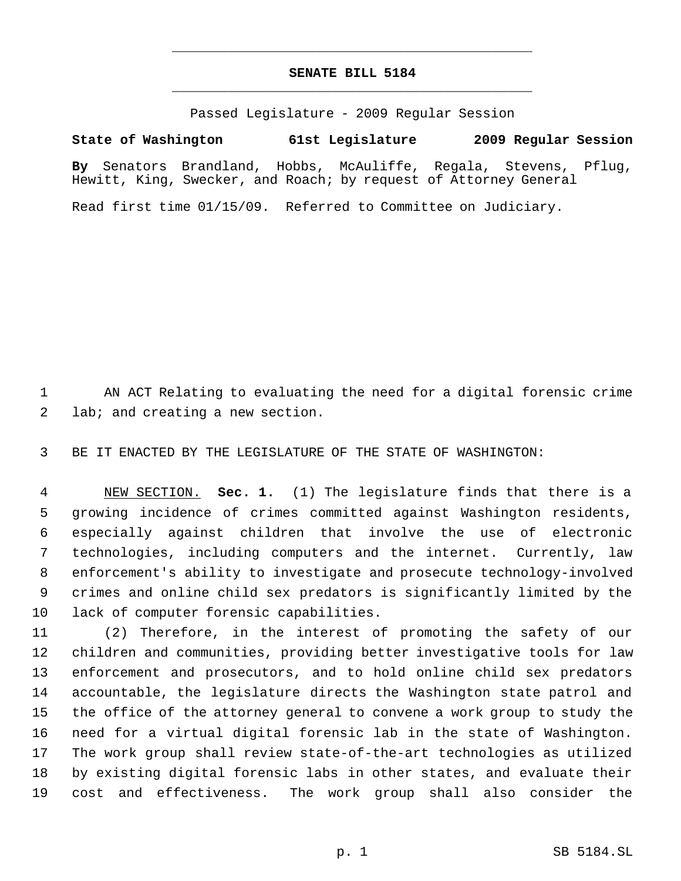## **SENATE BILL 5184** \_\_\_\_\_\_\_\_\_\_\_\_\_\_\_\_\_\_\_\_\_\_\_\_\_\_\_\_\_\_\_\_\_\_\_\_\_\_\_\_\_\_\_\_\_

\_\_\_\_\_\_\_\_\_\_\_\_\_\_\_\_\_\_\_\_\_\_\_\_\_\_\_\_\_\_\_\_\_\_\_\_\_\_\_\_\_\_\_\_\_

Passed Legislature - 2009 Regular Session

**State of Washington 61st Legislature 2009 Regular Session**

**By** Senators Brandland, Hobbs, McAuliffe, Regala, Stevens, Pflug, Hewitt, King, Swecker, and Roach; by request of Attorney General

Read first time 01/15/09. Referred to Committee on Judiciary.

 AN ACT Relating to evaluating the need for a digital forensic crime lab; and creating a new section.

BE IT ENACTED BY THE LEGISLATURE OF THE STATE OF WASHINGTON:

 NEW SECTION. **Sec. 1.** (1) The legislature finds that there is a growing incidence of crimes committed against Washington residents, especially against children that involve the use of electronic technologies, including computers and the internet. Currently, law enforcement's ability to investigate and prosecute technology-involved crimes and online child sex predators is significantly limited by the lack of computer forensic capabilities.

 (2) Therefore, in the interest of promoting the safety of our children and communities, providing better investigative tools for law enforcement and prosecutors, and to hold online child sex predators accountable, the legislature directs the Washington state patrol and the office of the attorney general to convene a work group to study the need for a virtual digital forensic lab in the state of Washington. The work group shall review state-of-the-art technologies as utilized by existing digital forensic labs in other states, and evaluate their cost and effectiveness. The work group shall also consider the